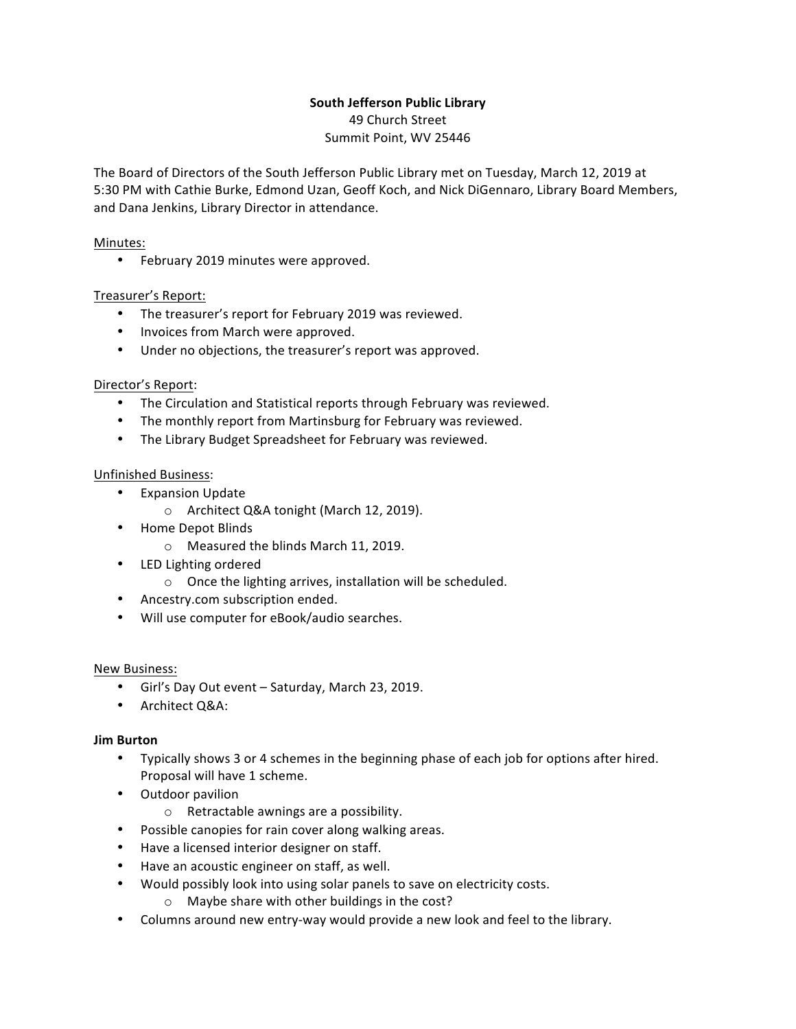# **South Jefferson Public Library**

49 Church Street Summit Point, WV 25446

The Board of Directors of the South Jefferson Public Library met on Tuesday, March 12, 2019 at 5:30 PM with Cathie Burke, Edmond Uzan, Geoff Koch, and Nick DiGennaro, Library Board Members, and Dana Jenkins, Library Director in attendance.

## Minutes:

• February 2019 minutes were approved.

## Treasurer's Report:

- The treasurer's report for February 2019 was reviewed.
- Invoices from March were approved.
- Under no objections, the treasurer's report was approved.

### Director's Report:

- The Circulation and Statistical reports through February was reviewed.
- The monthly report from Martinsburg for February was reviewed.
- The Library Budget Spreadsheet for February was reviewed.

## Unfinished Business:

- Expansion Update
	- o Architect Q&A tonight (March 12, 2019).
- Home Depot Blinds
	- o Measured the blinds March 11, 2019.
- LED Lighting ordered
	- $\circ$  Once the lighting arrives, installation will be scheduled.
- Ancestry.com subscription ended.
- Will use computer for eBook/audio searches.

### New Business:

- Girl's Day Out event Saturday, March 23, 2019.
- Architect Q&A:

### **Jim Burton**

- Typically shows 3 or 4 schemes in the beginning phase of each job for options after hired. Proposal will have 1 scheme.
- Outdoor pavilion
	- $\circ$  Retractable awnings are a possibility.
- Possible canopies for rain cover along walking areas.
- Have a licensed interior designer on staff.
- Have an acoustic engineer on staff, as well.
- Would possibly look into using solar panels to save on electricity costs.
	- $\circ$  Maybe share with other buildings in the cost?
- Columns around new entry-way would provide a new look and feel to the library.